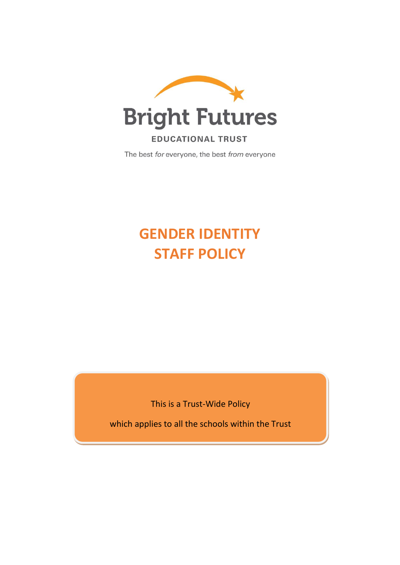

# **EDUCATIONAL TRUST**

The best for everyone, the best from everyone

# **GENDER IDENTITY STAFF POLICY**

This is a Trust-Wide Policy

which applies to all the schools within the Trust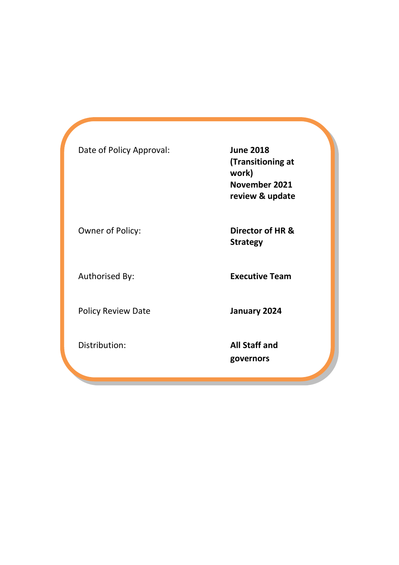| Date of Policy Approval:  | <b>June 2018</b><br>(Transitioning at<br>work)<br>November 2021<br>review & update |
|---------------------------|------------------------------------------------------------------------------------|
| Owner of Policy:          | Director of HR &<br><b>Strategy</b>                                                |
| Authorised By:            | <b>Executive Team</b>                                                              |
| <b>Policy Review Date</b> | January 2024                                                                       |
| Distribution:             | <b>All Staff and</b><br>governors                                                  |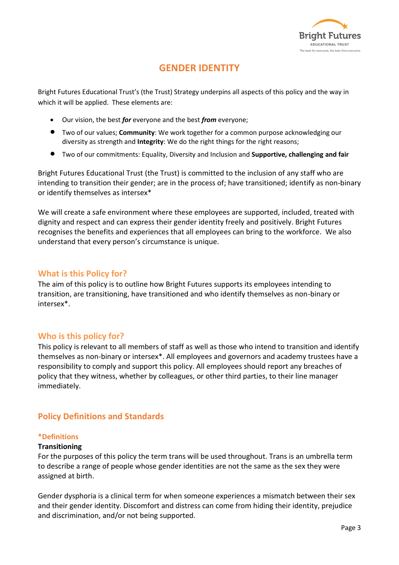

# **GENDER IDENTITY**

Bright Futures Educational Trust's (the Trust) Strategy underpins all aspects of this policy and the way in which it will be applied. These elements are:

- Our vision, the best *for* everyone and the best *from* everyone;
- Two of our values; **Community**: We work together for a common purpose acknowledging our diversity as strength and **Integrity**: We do the right things for the right reasons;
- Two of our commitments: Equality, Diversity and Inclusion and **Supportive, challenging and fair**

Bright Futures Educational Trust (the Trust) is committed to the inclusion of any staff who are intending to transition their gender; are in the process of; have transitioned; identify as non-binary or identify themselves as intersex\*

We will create a safe environment where these employees are supported, included, treated with dignity and respect and can express their gender identity freely and positively. Bright Futures recognises the benefits and experiences that all employees can bring to the workforce. We also understand that every person's circumstance is unique.

# **What is this Policy for?**

The aim of this policy is to outline how Bright Futures supports its employees intending to transition, are transitioning, have transitioned and who identify themselves as non-binary or intersex\*.

# **Who is this policy for?**

This policy is relevant to all members of staff as well as those who intend to transition and identify themselves as non-binary or intersex\*. All employees and governors and academy trustees have a responsibility to comply and support this policy. All employees should report any breaches of policy that they witness, whether by colleagues, or other third parties, to their line manager immediately.

# **Policy Definitions and Standards**

# **\*Definitions**

# **Transitioning**

For the purposes of this policy the term trans will be used throughout. Trans is an umbrella term to describe a range of people whose gender identities are not the same as the sex they were assigned at birth.

Gender dysphoria is a clinical term for when someone experiences a mismatch between their sex and their gender identity. Discomfort and distress can come from hiding their identity, prejudice and discrimination, and/or not being supported.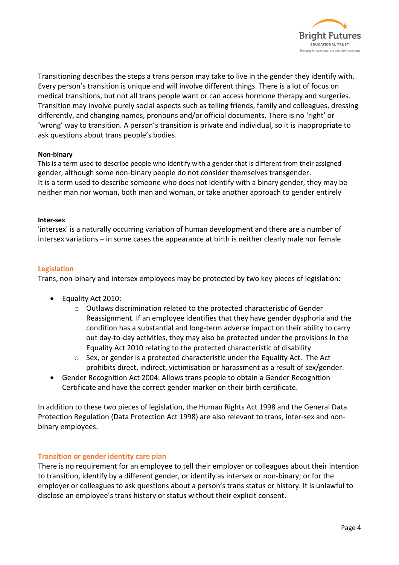

Transitioning describes the steps a trans person may take to live in the gender they identify with. Every person's transition is unique and will involve different things. There is a lot of focus on medical transitions, but not all trans people want or can access hormone therapy and surgeries. Transition may involve purely social aspects such as telling friends, family and colleagues, dressing differently, and changing names, pronouns and/or official documents. There is no 'right' or 'wrong' way to transition. A person's transition is private and individual, so it is inappropriate to ask questions about trans people's bodies.

# **Non-binary**

This is a term used to describe people who identify with a gender that is different from their assigned gender, although some non-binary people do not consider themselves transgender. It is a term used to describe someone who does not identify with a binary gender, they may be neither man nor woman, both man and woman, or take another approach to gender entirely

# **Inter-sex**

'intersex' is a naturally occurring variation of human development and there are a number of intersex variations – in some cases the appearance at birth is neither clearly male nor female

# **Legislation**

Trans, non-binary and intersex employees may be protected by two key pieces of legislation:

- Equality Act 2010:
	- o Outlaws discrimination related to the protected characteristic of Gender Reassignment. If an employee identifies that they have gender dysphoria and the condition has a substantial and long-term adverse impact on their ability to carry out day-to-day activities, they may also be protected under the provisions in the Equality Act 2010 relating to the protected characteristic of disability
	- $\circ$  Sex, or gender is a protected characteristic under the Equality Act. The Act prohibits direct, indirect, victimisation or harassment as a result of sex/gender.
- Gender Recognition Act 2004: Allows trans people to obtain a Gender Recognition Certificate and have the correct gender marker on their birth certificate.

In addition to these two pieces of legislation, the Human Rights Act 1998 and the General Data Protection Regulation (Data Protection Act 1998) are also relevant to trans, inter-sex and nonbinary employees.

# **Transition or gender identity care plan**

There is no requirement for an employee to tell their employer or colleagues about their intention to transition, identify by a different gender, or identify as intersex or non-binary; or for the employer or colleagues to ask questions about a person's trans status or history. It is unlawful to disclose an employee's trans history or status without their explicit consent.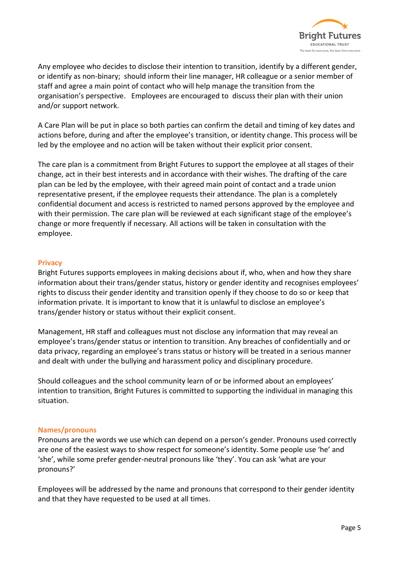

Any employee who decides to disclose their intention to transition, identify by a different gender, or identify as non-binary; should inform their line manager, HR colleague or a senior member of staff and agree a main point of contact who will help manage the transition from the organisation's perspective. Employees are encouraged to discuss their plan with their union and/or support network.

A Care Plan will be put in place so both parties can confirm the detail and timing of key dates and actions before, during and after the employee's transition, or identity change. This process will be led by the employee and no action will be taken without their explicit prior consent.

The care plan is a commitment from Bright Futures to support the employee at all stages of their change, act in their best interests and in accordance with their wishes. The drafting of the care plan can be led by the employee, with their agreed main point of contact and a trade union representative present, if the employee requests their attendance. The plan is a completely confidential document and access is restricted to named persons approved by the employee and with their permission. The care plan will be reviewed at each significant stage of the employee's change or more frequently if necessary. All actions will be taken in consultation with the employee.

# **Privacy**

Bright Futures supports employees in making decisions about if, who, when and how they share information about their trans/gender status, history or gender identity and recognises employees' rights to discuss their gender identity and transition openly if they choose to do so or keep that information private. It is important to know that it is unlawful to disclose an employee's trans/gender history or status without their explicit consent.

Management, HR staff and colleagues must not disclose any information that may reveal an employee's trans/gender status or intention to transition. Any breaches of confidentially and or data privacy, regarding an employee's trans status or history will be treated in a serious manner and dealt with under the bullying and harassment policy and disciplinary procedure.

Should colleagues and the school community learn of or be informed about an employees' intention to transition, Bright Futures is committed to supporting the individual in managing this situation.

# **Names/pronouns**

Pronouns are the words we use which can depend on a person's gender. Pronouns used correctly are one of the easiest ways to show respect for someone's identity. Some people use 'he' and 'she', while some prefer gender-neutral pronouns like 'they'. You can ask 'what are your pronouns?'

Employees will be addressed by the name and pronouns that correspond to their gender identity and that they have requested to be used at all times.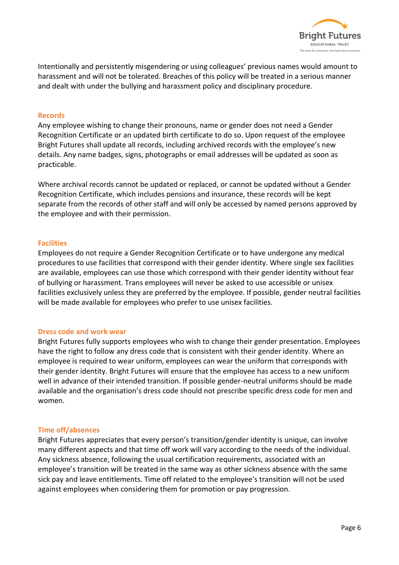

Intentionally and persistently misgendering or using colleagues' previous names would amount to harassment and will not be tolerated. Breaches of this policy will be treated in a serious manner and dealt with under the bullying and harassment policy and disciplinary procedure.

# **Records**

Any employee wishing to change their pronouns, name or gender does not need a Gender Recognition Certificate or an updated birth certificate to do so. Upon request of the employee Bright Futures shall update all records, including archived records with the employee's new details. Any name badges, signs, photographs or email addresses will be updated as soon as practicable.

Where archival records cannot be updated or replaced, or cannot be updated without a Gender Recognition Certificate, which includes pensions and insurance, these records will be kept separate from the records of other staff and will only be accessed by named persons approved by the employee and with their permission.

# **Facilities**

Employees do not require a Gender Recognition Certificate or to have undergone any medical procedures to use facilities that correspond with their gender identity. Where single sex facilities are available, employees can use those which correspond with their gender identity without fear of bullying or harassment. Trans employees will never be asked to use accessible or unisex facilities exclusively unless they are preferred by the employee. If possible, gender neutral facilities will be made available for employees who prefer to use unisex facilities.

# **Dress code and work wear**

Bright Futures fully supports employees who wish to change their gender presentation. Employees have the right to follow any dress code that is consistent with their gender identity. Where an employee is required to wear uniform, employees can wear the uniform that corresponds with their gender identity. Bright Futures will ensure that the employee has access to a new uniform well in advance of their intended transition. If possible gender-neutral uniforms should be made available and the organisation's dress code should not prescribe specific dress code for men and women.

# **Time off/absences**

Bright Futures appreciates that every person's transition/gender identity is unique, can involve many different aspects and that time off work will vary according to the needs of the individual. Any sickness absence, following the usual certification requirements, associated with an employee's transition will be treated in the same way as other sickness absence with the same sick pay and leave entitlements. Time off related to the employee's transition will not be used against employees when considering them for promotion or pay progression.